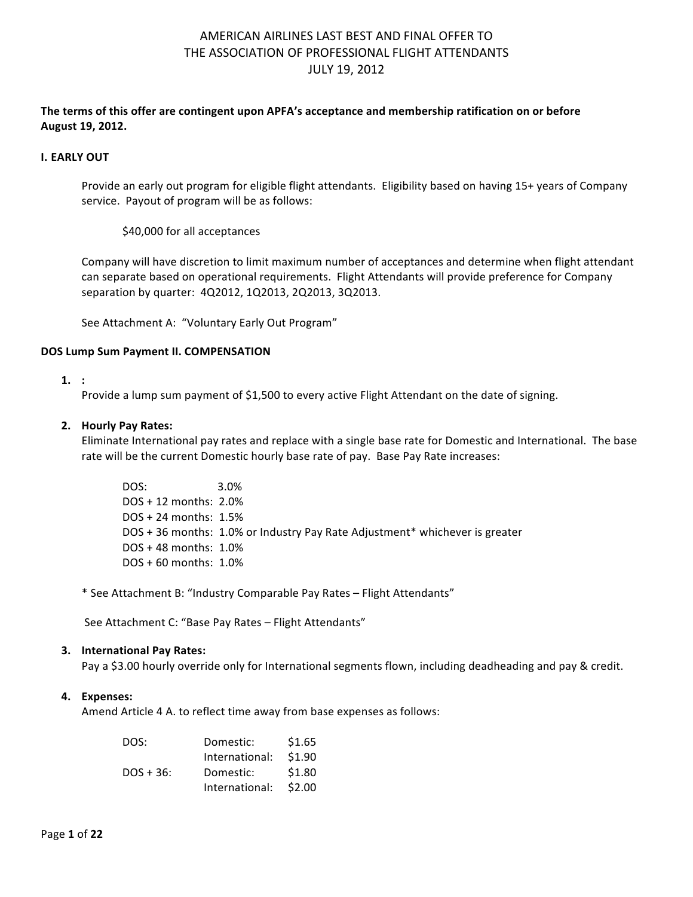### The terms of this offer are contingent upon APFA's acceptance and membership ratification on or before **August 19, 2012.**

#### **I. EARLY OUT**

Provide an early out program for eligible flight attendants. Eligibility based on having 15+ years of Company service. Payout of program will be as follows:

\$40,000 for all acceptances

Company will have discretion to limit maximum number of acceptances and determine when flight attendant can separate based on operational requirements. Flight Attendants will provide preference for Company separation by quarter: 4Q2012, 1Q2013, 2Q2013, 3Q2013.

See Attachment A: "Voluntary Early Out Program"

### **DOS Lump Sum Payment II. COMPENSATION**

#### **1. :**

Provide a lump sum payment of \$1,500 to every active Flight Attendant on the date of signing.

#### **2. Hourly Pay Rates:**

Eliminate International pay rates and replace with a single base rate for Domestic and International. The base rate will be the current Domestic hourly base rate of pay. Base Pay Rate increases:

DOS: 3.0%  $DOS + 12$  months:  $2.0%$  $DOS + 24$  months:  $1.5%$ DOS + 36 months: 1.0% or Industry Pay Rate Adjustment\* whichever is greater  $DOS + 48$  months:  $1.0%$  $DOS + 60$  months:  $1.0%$ 

\* See Attachment B: "Industry Comparable Pay Rates - Flight Attendants"

See Attachment C: "Base Pay Rates - Flight Attendants"

#### **3.** International Pay Rates:

Pay a \$3.00 hourly override only for International segments flown, including deadheading and pay & credit.

#### **4. Expenses:**

Amend Article 4 A. to reflect time away from base expenses as follows:

| DOS:        | Domestic:      | \$1.65 |
|-------------|----------------|--------|
|             | International: | \$1.90 |
| $DOS + 36:$ | Domestic:      | \$1.80 |
|             | International: | \$2.00 |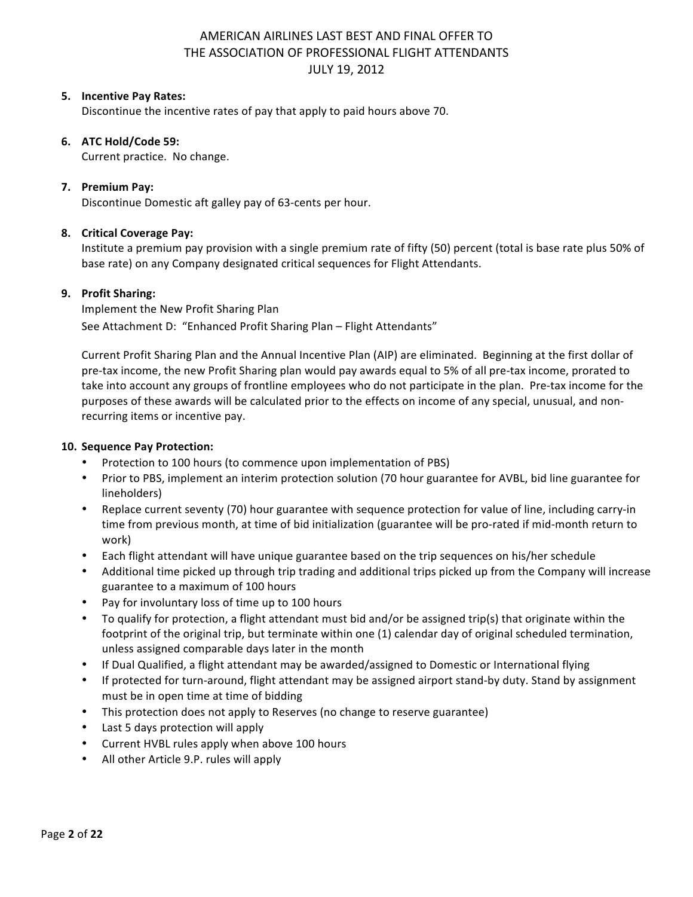### **5. Incentive Pay Rates:**

Discontinue the incentive rates of pay that apply to paid hours above 70.

### **6. ATC Hold/Code 59:**

Current practice. No change.

### **7.** Premium Pay:

Discontinue Domestic aft galley pay of 63-cents per hour.

### **8. Critical Coverage Pay:**

Institute a premium pay provision with a single premium rate of fifty (50) percent (total is base rate plus 50% of base rate) on any Company designated critical sequences for Flight Attendants.

### **9. Profit Sharing:**

Implement the New Profit Sharing Plan See Attachment D: "Enhanced Profit Sharing Plan - Flight Attendants"

Current Profit Sharing Plan and the Annual Incentive Plan (AIP) are eliminated. Beginning at the first dollar of pre-tax income, the new Profit Sharing plan would pay awards equal to 5% of all pre-tax income, prorated to take into account any groups of frontline employees who do not participate in the plan. Pre-tax income for the purposes of these awards will be calculated prior to the effects on income of any special, unusual, and nonrecurring items or incentive pay.

#### **10. Sequence Pay Protection:**

- Protection to 100 hours (to commence upon implementation of PBS)
- Prior to PBS, implement an interim protection solution (70 hour guarantee for AVBL, bid line guarantee for lineholders)
- Replace current seventy (70) hour guarantee with sequence protection for value of line, including carry-in time from previous month, at time of bid initialization (guarantee will be pro-rated if mid-month return to work)
- Each flight attendant will have unique guarantee based on the trip sequences on his/her schedule
- Additional time picked up through trip trading and additional trips picked up from the Company will increase guarantee to a maximum of 100 hours
- Pay for involuntary loss of time up to 100 hours
- To qualify for protection, a flight attendant must bid and/or be assigned trip(s) that originate within the footprint of the original trip, but terminate within one (1) calendar day of original scheduled termination, unless assigned comparable days later in the month
- If Dual Qualified, a flight attendant may be awarded/assigned to Domestic or International flying
- If protected for turn-around, flight attendant may be assigned airport stand-by duty. Stand by assignment must be in open time at time of bidding
- This protection does not apply to Reserves (no change to reserve guarantee)
- Last 5 days protection will apply
- Current HVBL rules apply when above 100 hours
- All other Article 9.P. rules will apply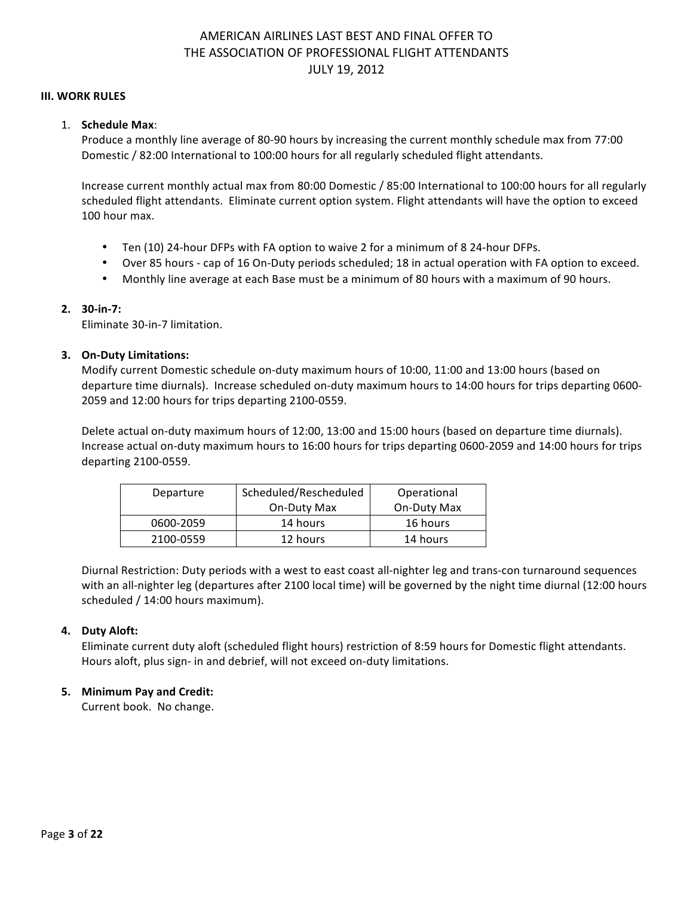#### **III. WORK RULES**

### 1. **Schedule Max**:

Produce a monthly line average of 80-90 hours by increasing the current monthly schedule max from 77:00 Domestic / 82:00 International to 100:00 hours for all regularly scheduled flight attendants.

Increase current monthly actual max from 80:00 Domestic / 85:00 International to 100:00 hours for all regularly scheduled flight attendants. Eliminate current option system. Flight attendants will have the option to exceed 100 hour max.

- Ten (10) 24-hour DFPs with FA option to waive 2 for a minimum of 8 24-hour DFPs.
- Over 85 hours cap of 16 On-Duty periods scheduled; 18 in actual operation with FA option to exceed.
- Monthly line average at each Base must be a minimum of 80 hours with a maximum of 90 hours.

### **2. 30-in-7:**

Eliminate 30-in-7 limitation.

### **3. On-Duty Limitations:**

Modify current Domestic schedule on-duty maximum hours of 10:00, 11:00 and 13:00 hours (based on departure time diurnals). Increase scheduled on-duty maximum hours to 14:00 hours for trips departing 0600-2059 and 12:00 hours for trips departing 2100-0559.

Delete actual on-duty maximum hours of 12:00, 13:00 and 15:00 hours (based on departure time diurnals). Increase actual on-duty maximum hours to 16:00 hours for trips departing 0600-2059 and 14:00 hours for trips departing 2100-0559.

| Departure | Scheduled/Rescheduled | Operational |
|-----------|-----------------------|-------------|
|           | On-Duty Max           | On-Duty Max |
| 0600-2059 | 14 hours              | 16 hours    |
| 2100-0559 | 12 hours              | 14 hours    |

Diurnal Restriction: Duty periods with a west to east coast all-nighter leg and trans-con turnaround sequences with an all-nighter leg (departures after 2100 local time) will be governed by the night time diurnal (12:00 hours scheduled / 14:00 hours maximum).

#### **4. Duty Aloft:**

Eliminate current duty aloft (scheduled flight hours) restriction of 8:59 hours for Domestic flight attendants. Hours aloft, plus sign- in and debrief, will not exceed on-duty limitations.

### **5. Minimum Pay and Credit:**

Current book. No change.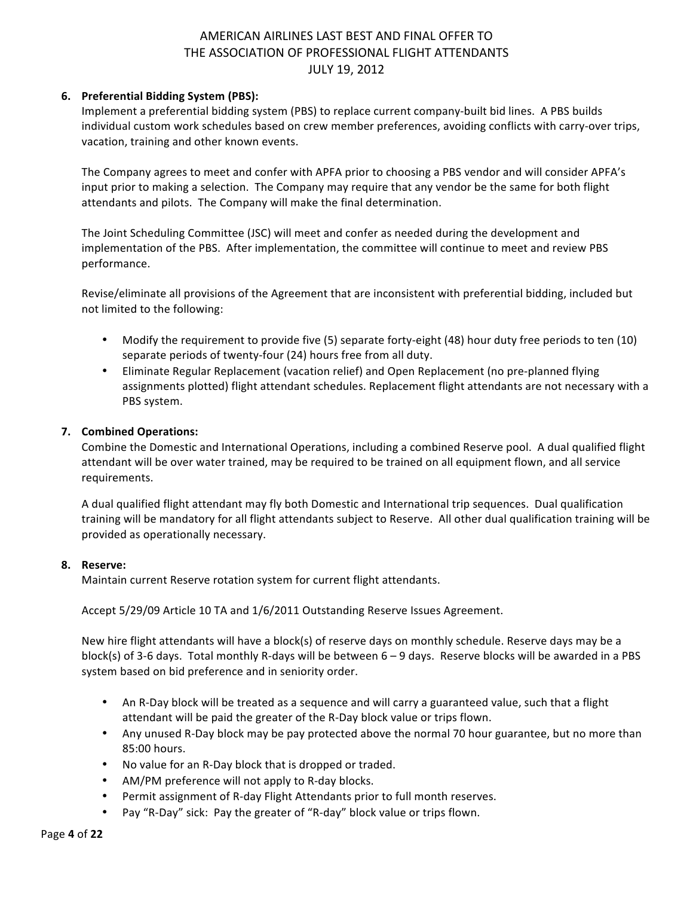### **6. Preferential Bidding System (PBS):**

Implement a preferential bidding system (PBS) to replace current company-built bid lines. A PBS builds individual custom work schedules based on crew member preferences, avoiding conflicts with carry-over trips, vacation, training and other known events.

The Company agrees to meet and confer with APFA prior to choosing a PBS vendor and will consider APFA's input prior to making a selection. The Company may require that any vendor be the same for both flight attendants and pilots. The Company will make the final determination.

The Joint Scheduling Committee (JSC) will meet and confer as needed during the development and implementation of the PBS. After implementation, the committee will continue to meet and review PBS performance.

Revise/eliminate all provisions of the Agreement that are inconsistent with preferential bidding, included but not limited to the following:

- Modify the requirement to provide five  $(5)$  separate forty-eight  $(48)$  hour duty free periods to ten  $(10)$ separate periods of twenty-four (24) hours free from all duty.
- Eliminate Regular Replacement (vacation relief) and Open Replacement (no pre-planned flying assignments plotted) flight attendant schedules. Replacement flight attendants are not necessary with a PBS system.

### **7. Combined Operations:**

Combine the Domestic and International Operations, including a combined Reserve pool. A dual qualified flight attendant will be over water trained, may be required to be trained on all equipment flown, and all service requirements. 

A dual qualified flight attendant may fly both Domestic and International trip sequences. Dual qualification training will be mandatory for all flight attendants subject to Reserve. All other dual qualification training will be provided as operationally necessary.

### **8. Reserve:**

Maintain current Reserve rotation system for current flight attendants.

Accept 5/29/09 Article 10 TA and 1/6/2011 Outstanding Reserve Issues Agreement.

New hire flight attendants will have a block(s) of reserve days on monthly schedule. Reserve days may be a block(s) of 3-6 days. Total monthly R-days will be between  $6 - 9$  days. Reserve blocks will be awarded in a PBS system based on bid preference and in seniority order.

- An R-Day block will be treated as a sequence and will carry a guaranteed value, such that a flight attendant will be paid the greater of the R-Day block value or trips flown.
- Any unused R-Day block may be pay protected above the normal 70 hour guarantee, but no more than 85:00 hours.
- No value for an R-Day block that is dropped or traded.
- AM/PM preference will not apply to R-day blocks.
- Permit assignment of R-day Flight Attendants prior to full month reserves.
- Pay "R-Day" sick: Pay the greater of "R-day" block value or trips flown.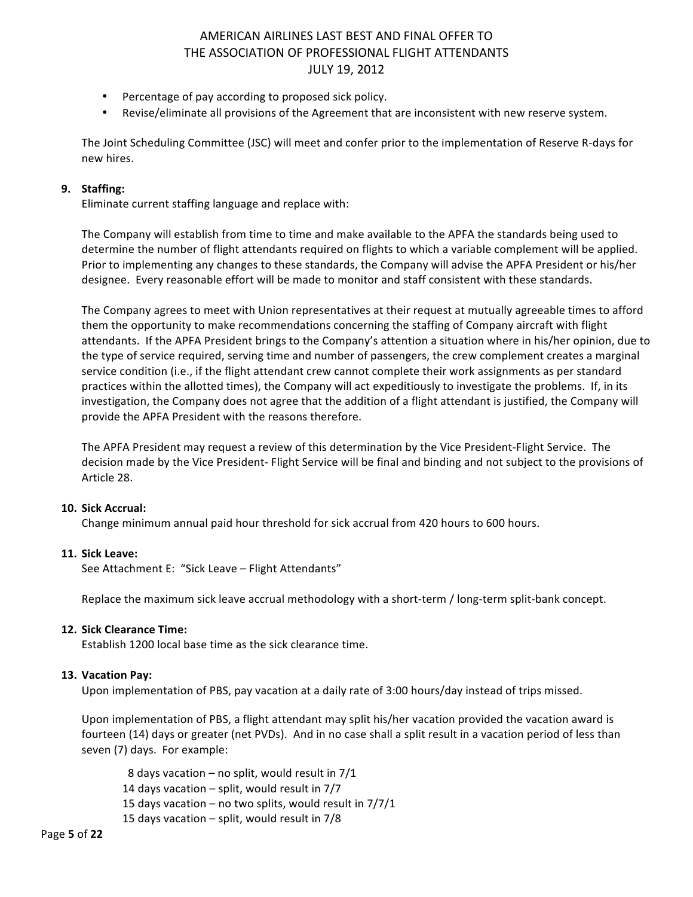- Percentage of pay according to proposed sick policy.
- Revise/eliminate all provisions of the Agreement that are inconsistent with new reserve system.

The Joint Scheduling Committee (JSC) will meet and confer prior to the implementation of Reserve R-days for new hires.

### **9. Staffing:**

Eliminate current staffing language and replace with:

The Company will establish from time to time and make available to the APFA the standards being used to determine the number of flight attendants required on flights to which a variable complement will be applied. Prior to implementing any changes to these standards, the Company will advise the APFA President or his/her designee. Every reasonable effort will be made to monitor and staff consistent with these standards.

The Company agrees to meet with Union representatives at their request at mutually agreeable times to afford them the opportunity to make recommendations concerning the staffing of Company aircraft with flight attendants. If the APFA President brings to the Company's attention a situation where in his/her opinion, due to the type of service required, serving time and number of passengers, the crew complement creates a marginal service condition (i.e., if the flight attendant crew cannot complete their work assignments as per standard practices within the allotted times), the Company will act expeditiously to investigate the problems. If, in its investigation, the Company does not agree that the addition of a flight attendant is justified, the Company will provide the APFA President with the reasons therefore.

The APFA President may request a review of this determination by the Vice President-Flight Service. The decision made by the Vice President- Flight Service will be final and binding and not subject to the provisions of Article 28.

#### **10. Sick Accrual:**

Change minimum annual paid hour threshold for sick accrual from 420 hours to 600 hours.

#### **11. Sick Leave:**

See Attachment E: "Sick Leave - Flight Attendants"

Replace the maximum sick leave accrual methodology with a short-term / long-term split-bank concept.

#### **12. Sick Clearance Time:**

Establish 1200 local base time as the sick clearance time.

#### **13. Vacation Pay:**

Upon implementation of PBS, pay vacation at a daily rate of 3:00 hours/day instead of trips missed.

Upon implementation of PBS, a flight attendant may split his/her vacation provided the vacation award is fourteen (14) days or greater (net PVDs). And in no case shall a split result in a vacation period of less than seven (7) days. For example:

8 days vacation – no split, would result in  $7/1$ 14 days vacation  $-$  split, would result in  $7/7$ 15 days vacation – no two splits, would result in  $7/7/1$ 15 days vacation  $-$  split, would result in  $7/8$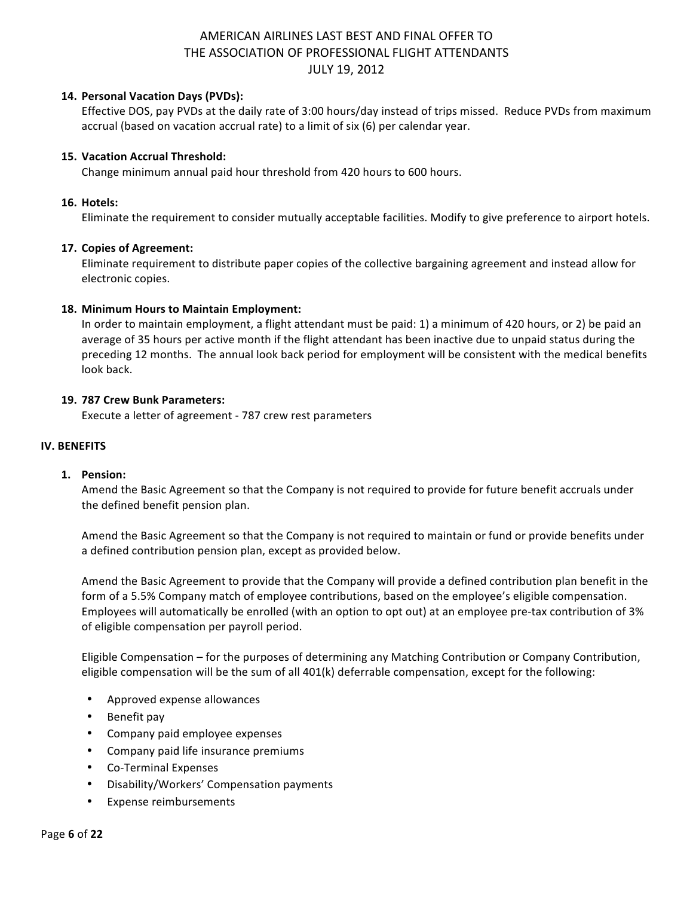### **14. Personal Vacation Days (PVDs):**

Effective DOS, pay PVDs at the daily rate of 3:00 hours/day instead of trips missed. Reduce PVDs from maximum accrual (based on vacation accrual rate) to a limit of six (6) per calendar year.

### **15. Vacation Accrual Threshold:**

Change minimum annual paid hour threshold from 420 hours to 600 hours.

#### **16. Hotels:**

Eliminate the requirement to consider mutually acceptable facilities. Modify to give preference to airport hotels.

#### **17. Copies of Agreement:**

Eliminate requirement to distribute paper copies of the collective bargaining agreement and instead allow for electronic copies.

### 18. Minimum Hours to Maintain Employment:

In order to maintain employment, a flight attendant must be paid: 1) a minimum of 420 hours, or 2) be paid an average of 35 hours per active month if the flight attendant has been inactive due to unpaid status during the preceding 12 months. The annual look back period for employment will be consistent with the medical benefits look back.

### **19. 787 Crew Bunk Parameters:**

Execute a letter of agreement - 787 crew rest parameters

#### **IV. BENEFITS**

#### **1. Pension:**

Amend the Basic Agreement so that the Company is not required to provide for future benefit accruals under the defined benefit pension plan.

Amend the Basic Agreement so that the Company is not required to maintain or fund or provide benefits under a defined contribution pension plan, except as provided below.

Amend the Basic Agreement to provide that the Company will provide a defined contribution plan benefit in the form of a 5.5% Company match of employee contributions, based on the employee's eligible compensation. Employees will automatically be enrolled (with an option to opt out) at an employee pre-tax contribution of 3% of eligible compensation per payroll period.

Eligible Compensation – for the purposes of determining any Matching Contribution or Company Contribution, eligible compensation will be the sum of all 401(k) deferrable compensation, except for the following:

- Approved expense allowances
- Benefit pay
- Company paid employee expenses
- Company paid life insurance premiums
- Co-Terminal Expenses
- Disability/Workers' Compensation payments
- Expense reimbursements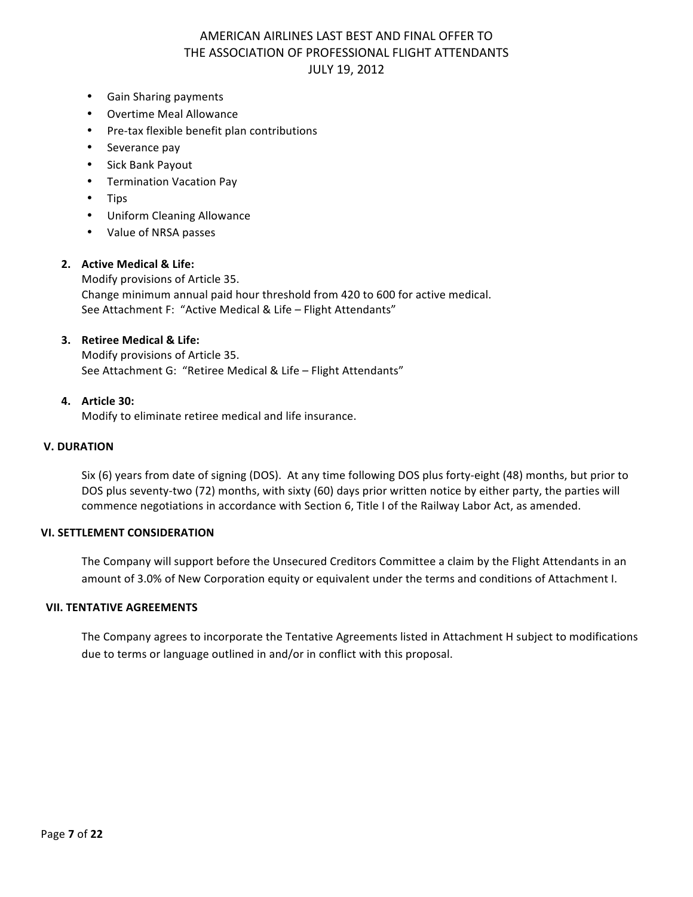- Gain Sharing payments
- Overtime Meal Allowance
- Pre-tax flexible benefit plan contributions
- Severance pay
- Sick Bank Payout
- Termination Vacation Pay
- Tips
- Uniform Cleaning Allowance
- Value of NRSA passes

#### **2. Active Medical & Life:**

Modify provisions of Article 35. Change minimum annual paid hour threshold from 420 to 600 for active medical. See Attachment F: "Active Medical & Life - Flight Attendants"

#### **3. Retiree Medical & Life:**

Modify provisions of Article 35. See Attachment G: "Retiree Medical & Life - Flight Attendants"

#### **4. Article 30:**

Modify to eliminate retiree medical and life insurance.

#### **V. DURATION**

Six  $(6)$  years from date of signing (DOS). At any time following DOS plus forty-eight  $(48)$  months, but prior to DOS plus seventy-two (72) months, with sixty (60) days prior written notice by either party, the parties will commence negotiations in accordance with Section 6, Title I of the Railway Labor Act, as amended.

#### **VI. SETTLEMENT CONSIDERATION**

The Company will support before the Unsecured Creditors Committee a claim by the Flight Attendants in an amount of 3.0% of New Corporation equity or equivalent under the terms and conditions of Attachment I.

#### **VII. TENTATIVE AGREEMENTS**

The Company agrees to incorporate the Tentative Agreements listed in Attachment H subject to modifications due to terms or language outlined in and/or in conflict with this proposal.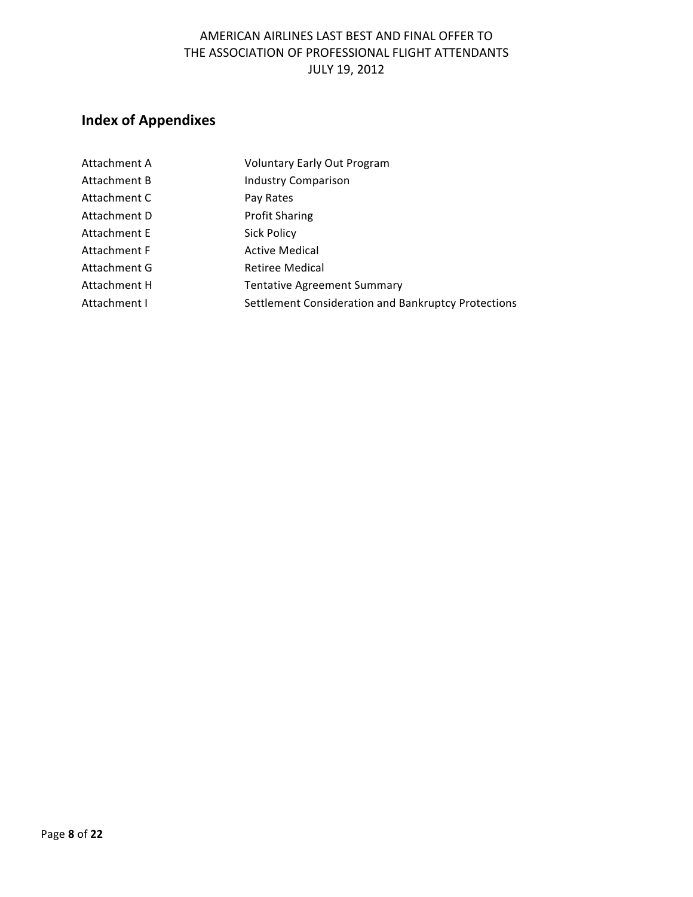# **Index of Appendixes**

| Attachment A | <b>Voluntary Early Out Program</b>                  |
|--------------|-----------------------------------------------------|
| Attachment B | <b>Industry Comparison</b>                          |
| Attachment C | Pay Rates                                           |
| Attachment D | <b>Profit Sharing</b>                               |
| Attachment E | <b>Sick Policy</b>                                  |
| Attachment F | <b>Active Medical</b>                               |
| Attachment G | Retiree Medical                                     |
| Attachment H | <b>Tentative Agreement Summary</b>                  |
| Attachment I | Settlement Consideration and Bankruptcy Protections |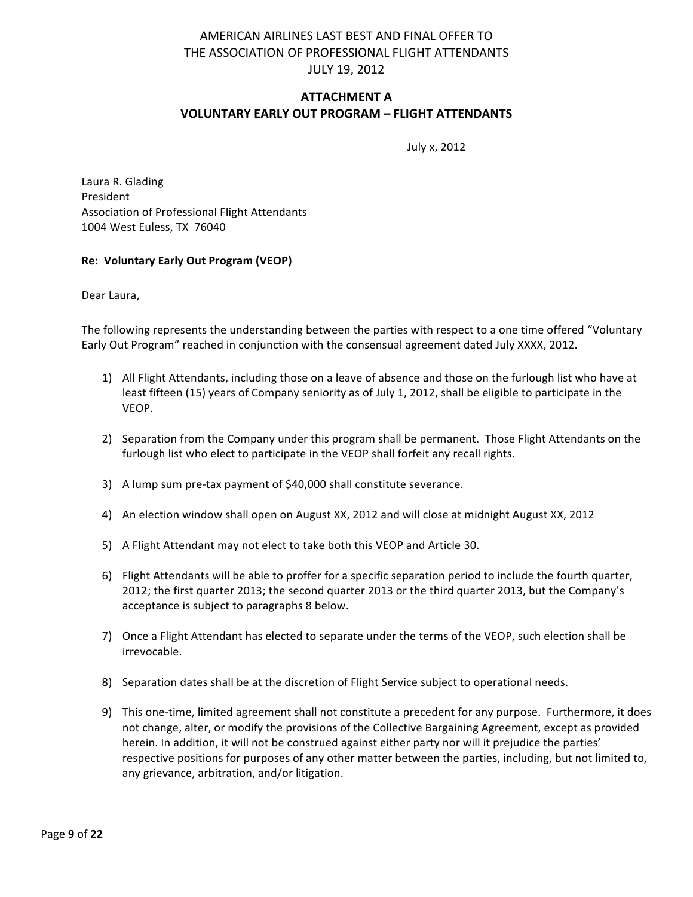### **ATTACHMENT A VOLUNTARY EARLY OUT PROGRAM – FLIGHT ATTENDANTS**

July x, 2012

Laura R. Glading President Association of Professional Flight Attendants 1004 West Euless, TX 76040

### **Re: Voluntary Early Out Program (VEOP)**

Dear Laura,

The following represents the understanding between the parties with respect to a one time offered "Voluntary Early Out Program" reached in conjunction with the consensual agreement dated July XXXX, 2012.

- 1) All Flight Attendants, including those on a leave of absence and those on the furlough list who have at least fifteen (15) years of Company seniority as of July 1, 2012, shall be eligible to participate in the VEOP.
- 2) Separation from the Company under this program shall be permanent. Those Flight Attendants on the furlough list who elect to participate in the VEOP shall forfeit any recall rights.
- 3) A lump sum pre-tax payment of \$40,000 shall constitute severance.
- 4) An election window shall open on August XX, 2012 and will close at midnight August XX, 2012
- 5) A Flight Attendant may not elect to take both this VEOP and Article 30.
- 6) Flight Attendants will be able to proffer for a specific separation period to include the fourth quarter, 2012; the first quarter 2013; the second quarter 2013 or the third quarter 2013, but the Company's acceptance is subject to paragraphs 8 below.
- 7) Once a Flight Attendant has elected to separate under the terms of the VEOP, such election shall be irrevocable.
- 8) Separation dates shall be at the discretion of Flight Service subject to operational needs.
- 9) This one-time, limited agreement shall not constitute a precedent for any purpose. Furthermore, it does not change, alter, or modify the provisions of the Collective Bargaining Agreement, except as provided herein. In addition, it will not be construed against either party nor will it prejudice the parties' respective positions for purposes of any other matter between the parties, including, but not limited to, any grievance, arbitration, and/or litigation.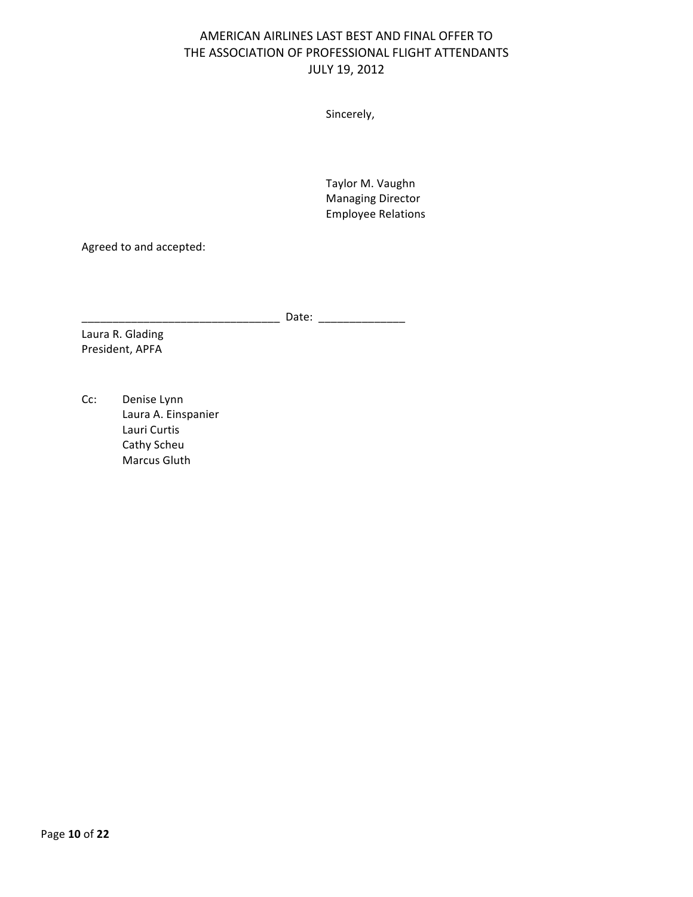Sincerely,

Taylor M. Vaughn Managing Director Employee Relations

Agreed to and accepted:

\_\_\_\_\_\_\_\_\_\_\_\_\_\_\_\_\_\_\_\_\_\_\_\_\_\_\_\_\_\_\_\_ Date: \_\_\_\_\_\_\_\_\_\_\_\_\_\_

Laura R. Glading President, APFA

Cc: Denise Lynn Laura A. Einspanier Lauri Curtis Cathy Scheu Marcus Gluth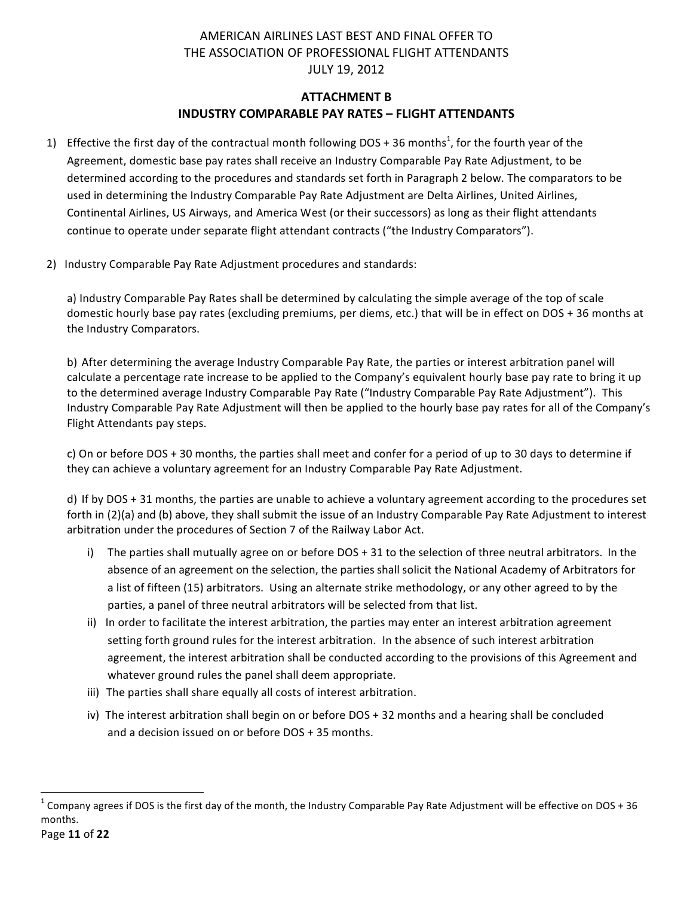# **ATTACHMENT B INDUSTRY COMPARABLE PAY RATES - FLIGHT ATTENDANTS**

- 1) Effective the first day of the contractual month following DOS + 36 months<sup>1</sup>, for the fourth year of the Agreement, domestic base pay rates shall receive an Industry Comparable Pay Rate Adjustment, to be determined according to the procedures and standards set forth in Paragraph 2 below. The comparators to be used in determining the Industry Comparable Pay Rate Adjustment are Delta Airlines, United Airlines, Continental Airlines, US Airways, and America West (or their successors) as long as their flight attendants continue to operate under separate flight attendant contracts ("the Industry Comparators").
- 2) Industry Comparable Pay Rate Adjustment procedures and standards:

a) Industry Comparable Pay Rates shall be determined by calculating the simple average of the top of scale domestic hourly base pay rates (excluding premiums, per diems, etc.) that will be in effect on DOS + 36 months at the Industry Comparators.

b) After determining the average Industry Comparable Pay Rate, the parties or interest arbitration panel will calculate a percentage rate increase to be applied to the Company's equivalent hourly base pay rate to bring it up to the determined average Industry Comparable Pay Rate ("Industry Comparable Pay Rate Adjustment"). This Industry Comparable Pay Rate Adjustment will then be applied to the hourly base pay rates for all of the Company's Flight Attendants pay steps.

c) On or before DOS + 30 months, the parties shall meet and confer for a period of up to 30 days to determine if they can achieve a voluntary agreement for an Industry Comparable Pay Rate Adjustment.

d) If by DOS + 31 months, the parties are unable to achieve a voluntary agreement according to the procedures set forth in (2)(a) and (b) above, they shall submit the issue of an Industry Comparable Pay Rate Adjustment to interest arbitration under the procedures of Section 7 of the Railway Labor Act.

- i) The parties shall mutually agree on or before DOS + 31 to the selection of three neutral arbitrators. In the absence of an agreement on the selection, the parties shall solicit the National Academy of Arbitrators for a list of fifteen (15) arbitrators. Using an alternate strike methodology, or any other agreed to by the parties, a panel of three neutral arbitrators will be selected from that list.
- ii) In order to facilitate the interest arbitration, the parties may enter an interest arbitration agreement setting forth ground rules for the interest arbitration. In the absence of such interest arbitration agreement, the interest arbitration shall be conducted according to the provisions of this Agreement and whatever ground rules the panel shall deem appropriate.
- iii) The parties shall share equally all costs of interest arbitration.
- iv) The interest arbitration shall begin on or before DOS + 32 months and a hearing shall be concluded and a decision issued on or before DOS + 35 months.

<u> 1989 - Johann Stein, markin film yn y breninn y breninn y breninn y breninn y breninn y breninn y breninn y b</u>

 $^1$  Company agrees if DOS is the first day of the month, the Industry Comparable Pay Rate Adjustment will be effective on DOS + 36 months.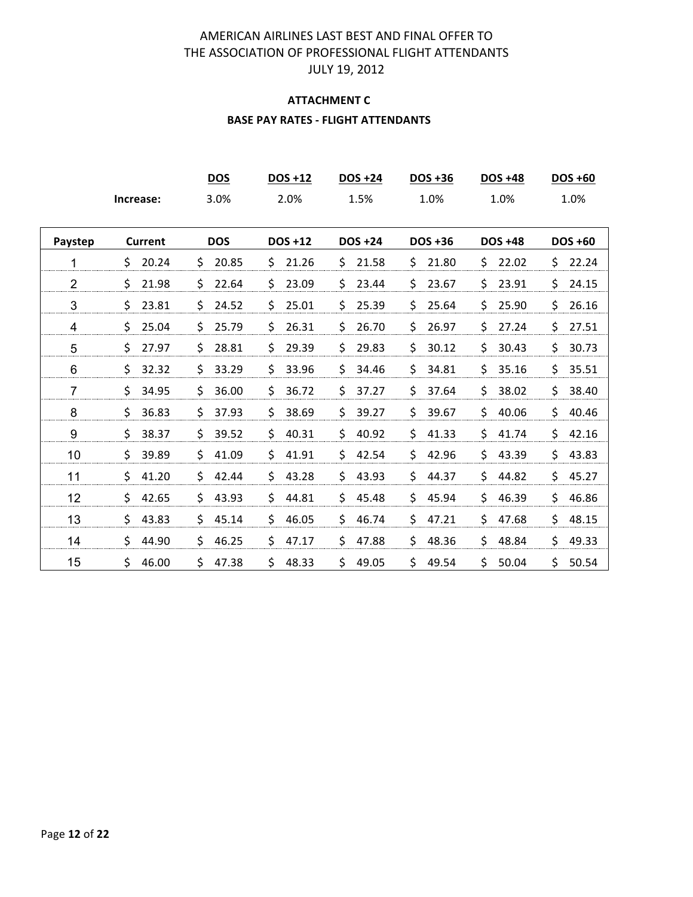# **ATTACHMENT C BASE PAY RATES - FLIGHT ATTENDANTS**

|                |           | <b>DOS</b> | <b>DOS +12</b> | <b>DOS +24</b> | DOS +36        | <b>DOS +48</b> | DOS +60        |
|----------------|-----------|------------|----------------|----------------|----------------|----------------|----------------|
|                | Increase: | 3.0%       | 2.0%           | 1.5%           | 1.0%           | 1.0%           | 1.0%           |
| Paystep        | Current   | <b>DOS</b> | <b>DOS +12</b> | <b>DOS +24</b> | <b>DOS +36</b> | <b>DOS +48</b> | <b>DOS +60</b> |
| 1              | \$        | 20.85      | 21.26          | \$             | \$             | \$.            | \$             |
|                | 20.24     | \$         | \$             | 21.58          | 21.80          | 22.02          | 22.24          |
| $\overline{2}$ | \$        | \$         | \$             | \$             | \$             | \$             | \$             |
|                | 21.98     | 22.64      | 23.09          | 23.44          | 23.67          | 23.91          | 24.15          |
| 3              | \$        | \$         | \$             | \$             | \$             | \$             | \$             |
|                | 23.81     | 24.52      | 25.01          | 25.39          | 25.64          | 25.90          | 26.16          |
| 4              | \$        | \$         | \$             | \$             | \$             | \$             | \$             |
|                | 25.04     | 25.79      | 26.31          | 26.70          | 26.97          | 27.24          | 27.51          |
| 5              | \$        | \$         | \$             | \$             | \$             | \$             | \$             |
|                | 27.97     | 28.81      | 29.39          | 29.83          | 30.12          | 30.43          | 30.73          |
| 6              | \$        | \$         | \$             | \$             | \$             | \$             | \$             |
|                | 32.32     | 33.29      | 33.96          | 34.46          | 34.81          | 35.16          | 35.51          |
| $\overline{7}$ | \$        | \$         | \$             | \$             | \$             | \$             | \$             |
|                | 34.95     | 36.00      | 36.72          | 37.27          | 37.64          | 38.02          | 38.40          |
| 8              | \$        | \$         | \$             | \$             | \$             | \$             | \$             |
|                | 36.83     | 37.93      | 38.69          | 39.27          | 39.67          | 40.06          | 40.46          |
| 9              | \$        | \$         | \$             | \$             | \$             | \$             | \$             |
|                | 38.37     | 39.52      | 40.31          | 40.92          | 41.33          | 41.74          | 42.16          |
| 10             | \$        | \$         | \$             | \$             | \$             | \$             | \$             |
|                | 39.89     | 41.09      | 41.91          | 42.54          | 42.96          | 43.39          | 43.83          |
| 11             | \$        | \$         | \$             | \$             | \$             | \$             | \$             |
|                | 41.20     | 42.44      | 43.28          | 43.93          | 44.37          | 44.82          | 45.27          |
| 12             | \$        | \$         | \$             | \$             | \$             | \$             | \$             |
|                | 42.65     | 43.93      | 44.81          | 45.48          | 45.94          | 46.39          | 46.86          |
| 13             | \$        | \$         | \$             | \$             | \$             | \$             | \$             |
|                | 43.83     | 45.14      | 46.05          | 46.74          | 47.21          | 47.68          | 48.15          |
| 14             | \$        | \$         | \$             | \$             | \$             | \$             | \$             |
|                | 44.90     | 46.25      | 47.17          | 47.88          | 48.36          | 48.84          | 49.33          |
| 15             | \$        | Ś.         | Ś              | \$             | Ś.             | Ś.             | \$             |
|                | 46.00     | 47.38      | 48.33          | 49.05          | 49.54          | 50.04          | 50.54          |
|                |           |            |                |                |                |                |                |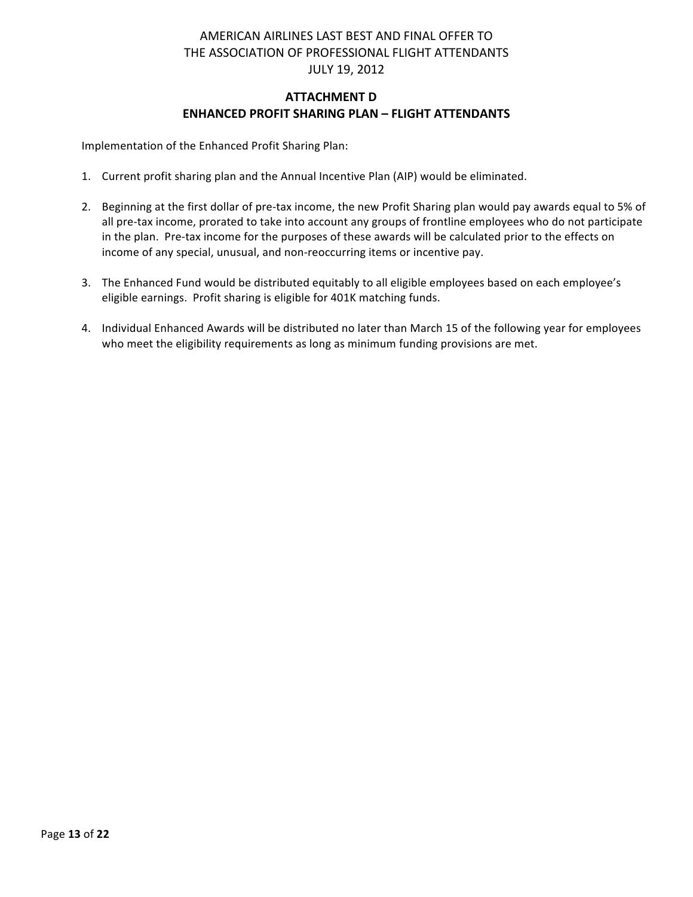# **ATTACHMENT D ENHANCED PROFIT SHARING PLAN – FLIGHT ATTENDANTS**

Implementation of the Enhanced Profit Sharing Plan:

- 1. Current profit sharing plan and the Annual Incentive Plan (AIP) would be eliminated.
- 2. Beginning at the first dollar of pre-tax income, the new Profit Sharing plan would pay awards equal to 5% of all pre-tax income, prorated to take into account any groups of frontline employees who do not participate in the plan. Pre-tax income for the purposes of these awards will be calculated prior to the effects on income of any special, unusual, and non-reoccurring items or incentive pay.
- 3. The Enhanced Fund would be distributed equitably to all eligible employees based on each employee's eligible earnings. Profit sharing is eligible for 401K matching funds.
- 4. Individual Enhanced Awards will be distributed no later than March 15 of the following year for employees who meet the eligibility requirements as long as minimum funding provisions are met.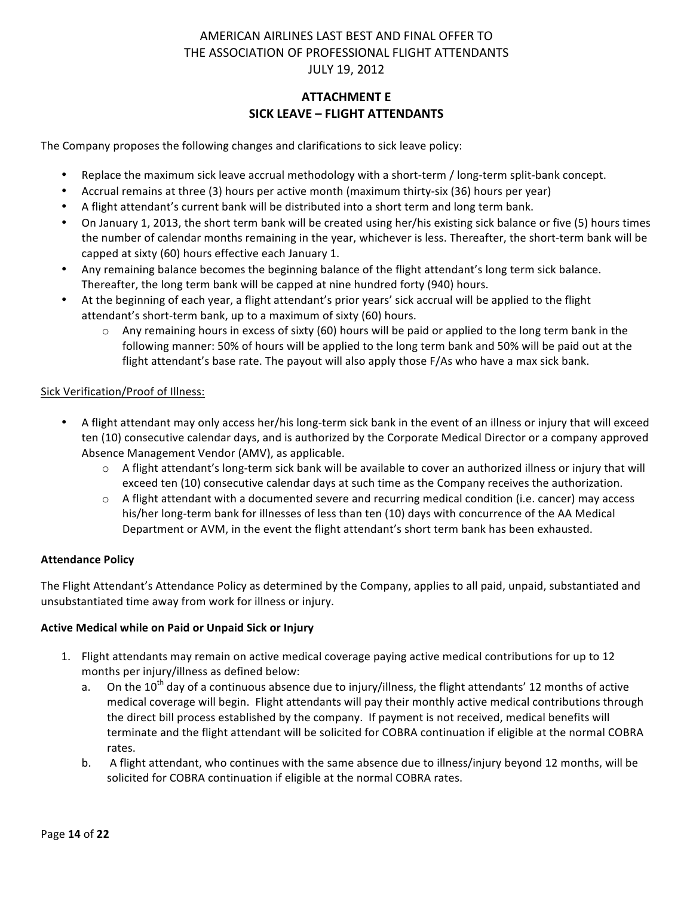# **ATTACHMENT E SICK LEAVE – FLIGHT ATTENDANTS**

The Company proposes the following changes and clarifications to sick leave policy:

- Replace the maximum sick leave accrual methodology with a short-term / long-term split-bank concept.
- Accrual remains at three (3) hours per active month (maximum thirty-six (36) hours per year)
- A flight attendant's current bank will be distributed into a short term and long term bank.
- On January 1, 2013, the short term bank will be created using her/his existing sick balance or five (5) hours times the number of calendar months remaining in the year, whichever is less. Thereafter, the short-term bank will be capped at sixty (60) hours effective each January 1.
- Any remaining balance becomes the beginning balance of the flight attendant's long term sick balance. Thereafter, the long term bank will be capped at nine hundred forty (940) hours.
- At the beginning of each year, a flight attendant's prior years' sick accrual will be applied to the flight attendant's short-term bank, up to a maximum of sixty (60) hours.
	- $\circ$  Any remaining hours in excess of sixty (60) hours will be paid or applied to the long term bank in the following manner: 50% of hours will be applied to the long term bank and 50% will be paid out at the flight attendant's base rate. The payout will also apply those F/As who have a max sick bank.

### Sick Verification/Proof of Illness:

- A flight attendant may only access her/his long-term sick bank in the event of an illness or injury that will exceed ten (10) consecutive calendar days, and is authorized by the Corporate Medical Director or a company approved Absence Management Vendor (AMV), as applicable.
	- $\circ$  A flight attendant's long-term sick bank will be available to cover an authorized illness or injury that will exceed ten (10) consecutive calendar days at such time as the Company receives the authorization.
	- $\circ$  A flight attendant with a documented severe and recurring medical condition (i.e. cancer) may access his/her long-term bank for illnesses of less than ten (10) days with concurrence of the AA Medical Department or AVM, in the event the flight attendant's short term bank has been exhausted.

#### **Attendance Policy**

The Flight Attendant's Attendance Policy as determined by the Company, applies to all paid, unpaid, substantiated and unsubstantiated time away from work for illness or injury.

#### **Active Medical while on Paid or Unpaid Sick or Injury**

- 1. Flight attendants may remain on active medical coverage paying active medical contributions for up to 12 months per injury/illness as defined below:
	- a. On the 10<sup>th</sup> day of a continuous absence due to injury/illness, the flight attendants' 12 months of active medical coverage will begin. Flight attendants will pay their monthly active medical contributions through the direct bill process established by the company. If payment is not received, medical benefits will terminate and the flight attendant will be solicited for COBRA continuation if eligible at the normal COBRA rates.
	- b. A flight attendant, who continues with the same absence due to illness/injury beyond 12 months, will be solicited for COBRA continuation if eligible at the normal COBRA rates.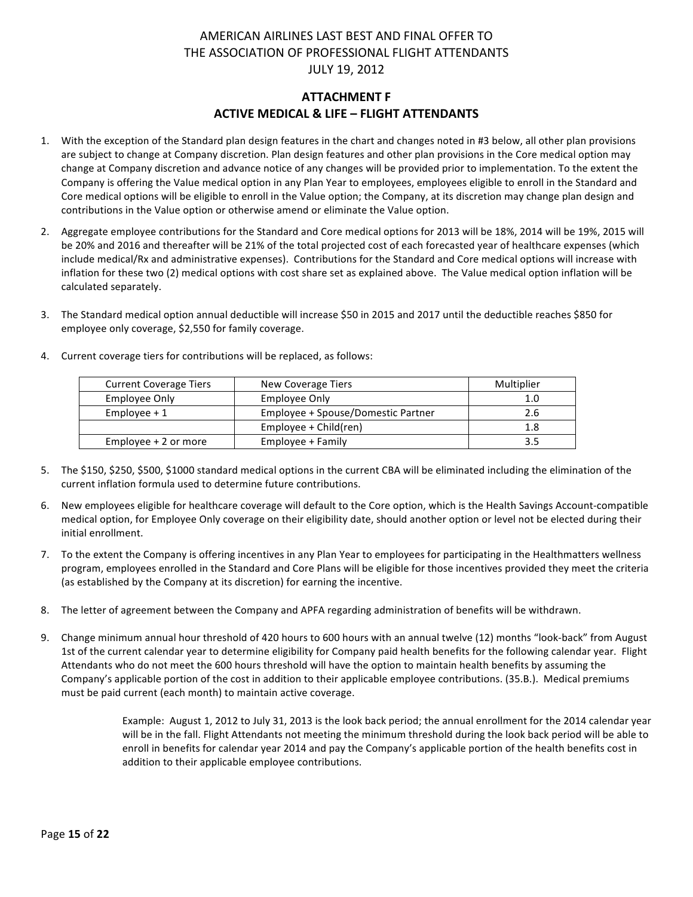# **ATTACHMENT F ACTIVE MEDICAL & LIFE - FLIGHT ATTENDANTS**

- 1. With the exception of the Standard plan design features in the chart and changes noted in #3 below, all other plan provisions are subject to change at Company discretion. Plan design features and other plan provisions in the Core medical option may change at Company discretion and advance notice of any changes will be provided prior to implementation. To the extent the Company is offering the Value medical option in any Plan Year to employees, employees eligible to enroll in the Standard and Core medical options will be eligible to enroll in the Value option; the Company, at its discretion may change plan design and contributions in the Value option or otherwise amend or eliminate the Value option.
- 2. Aggregate employee contributions for the Standard and Core medical options for 2013 will be 18%, 2014 will be 19%, 2015 will be 20% and 2016 and thereafter will be 21% of the total projected cost of each forecasted year of healthcare expenses (which include medical/Rx and administrative expenses). Contributions for the Standard and Core medical options will increase with inflation for these two (2) medical options with cost share set as explained above. The Value medical option inflation will be calculated separately.
- 3. The Standard medical option annual deductible will increase \$50 in 2015 and 2017 until the deductible reaches \$850 for employee only coverage, \$2,550 for family coverage.

| <b>Current Coverage Tiers</b> | New Coverage Tiers                 | Multiplier |
|-------------------------------|------------------------------------|------------|
| Employee Only                 | Employee Only                      | 1.0        |
| $Employee + 1$                | Employee + Spouse/Domestic Partner | 2.6        |
|                               | Employee + Child(ren)              | 1.8        |
| Employee $+2$ or more         | Employee + Family                  | 3.5        |

4. Current coverage tiers for contributions will be replaced, as follows:

- 5. The \$150, \$250, \$500, \$1000 standard medical options in the current CBA will be eliminated including the elimination of the current inflation formula used to determine future contributions.
- 6. New employees eligible for healthcare coverage will default to the Core option, which is the Health Savings Account-compatible medical option, for Employee Only coverage on their eligibility date, should another option or level not be elected during their initial enrollment.
- 7. To the extent the Company is offering incentives in any Plan Year to employees for participating in the Healthmatters wellness program, employees enrolled in the Standard and Core Plans will be eligible for those incentives provided they meet the criteria (as established by the Company at its discretion) for earning the incentive.
- 8. The letter of agreement between the Company and APFA regarding administration of benefits will be withdrawn.
- 9. Change minimum annual hour threshold of 420 hours to 600 hours with an annual twelve (12) months "look-back" from August 1st of the current calendar year to determine eligibility for Company paid health benefits for the following calendar year. Flight Attendants who do not meet the 600 hours threshold will have the option to maintain health benefits by assuming the Company's applicable portion of the cost in addition to their applicable employee contributions. (35.B.). Medical premiums must be paid current (each month) to maintain active coverage.

Example: August 1, 2012 to July 31, 2013 is the look back period; the annual enrollment for the 2014 calendar year will be in the fall. Flight Attendants not meeting the minimum threshold during the look back period will be able to enroll in benefits for calendar year 2014 and pay the Company's applicable portion of the health benefits cost in addition to their applicable employee contributions.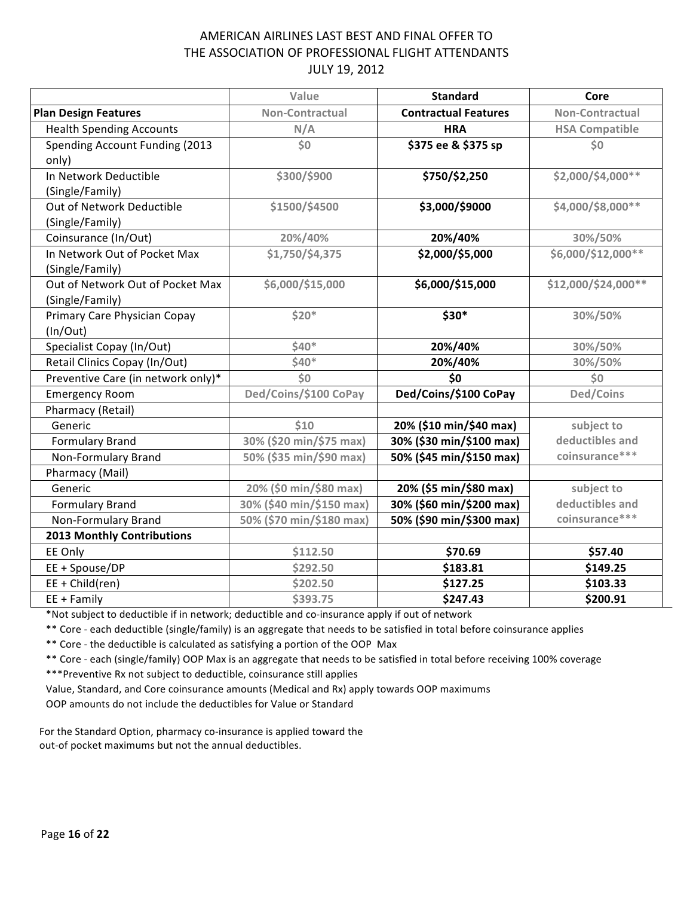|                                    | Value                    | <b>Standard</b>             | Core                   |
|------------------------------------|--------------------------|-----------------------------|------------------------|
| <b>Plan Design Features</b>        | Non-Contractual          | <b>Contractual Features</b> | <b>Non-Contractual</b> |
| <b>Health Spending Accounts</b>    | N/A                      | <b>HRA</b>                  | <b>HSA Compatible</b>  |
| Spending Account Funding (2013     | $\overline{\text{S}}$    | \$375 ee & \$375 sp         | \$0                    |
| only)                              |                          |                             |                        |
| In Network Deductible              | \$300/\$900              | \$750/\$2,250               | \$2,000/\$4,000**      |
| (Single/Family)                    |                          |                             |                        |
| Out of Network Deductible          | \$1500/\$4500            | \$3,000/\$9000              | \$4,000/\$8,000**      |
| (Single/Family)                    |                          |                             |                        |
| Coinsurance (In/Out)               | 20%/40%                  | 20%/40%                     | 30%/50%                |
| In Network Out of Pocket Max       | \$1,750/\$4,375          | \$2,000/\$5,000             | \$6,000/\$12,000**     |
| (Single/Family)                    |                          |                             |                        |
| Out of Network Out of Pocket Max   | \$6,000/\$15,000         | \$6,000/\$15,000            | \$12,000/\$24,000**    |
| (Single/Family)                    |                          |                             |                        |
| Primary Care Physician Copay       | $$20*$                   | \$30*                       | 30%/50%                |
| (ln/Out)                           |                          |                             |                        |
| Specialist Copay (In/Out)          | $$40*$                   | 20%/40%                     | 30%/50%                |
| Retail Clinics Copay (In/Out)      | $$40*$                   | 20%/40%                     | 30%/50%                |
| Preventive Care (in network only)* | \$0\$                    | \$0                         | \$0                    |
| <b>Emergency Room</b>              | Ded/Coins/\$100 CoPay    | Ded/Coins/\$100 CoPay       | Ded/Coins              |
| Pharmacy (Retail)                  |                          |                             |                        |
| Generic                            | \$10                     | 20% (\$10 min/\$40 max)     | subject to             |
| <b>Formulary Brand</b>             | 30% (\$20 min/\$75 max)  | 30% (\$30 min/\$100 max)    | deductibles and        |
| Non-Formulary Brand                | 50% (\$35 min/\$90 max)  | 50% (\$45 min/\$150 max)    | coinsurance***         |
| Pharmacy (Mail)                    |                          |                             |                        |
| Generic                            | 20% (\$0 min/\$80 max)   | 20% (\$5 min/\$80 max)      | subject to             |
| <b>Formulary Brand</b>             | 30% (\$40 min/\$150 max) | 30% (\$60 min/\$200 max)    | deductibles and        |
| Non-Formulary Brand                | 50% (\$70 min/\$180 max) | 50% (\$90 min/\$300 max)    | coinsurance***         |
| <b>2013 Monthly Contributions</b>  |                          |                             |                        |
| EE Only                            | \$112.50                 | \$70.69                     | \$57.40                |
| EE + Spouse/DP                     | \$292.50                 | \$183.81                    | \$149.25               |
| $EE + Child(ren)$                  | \$202.50                 | \$127.25                    | \$103.33               |
| $EE + Family$                      | \$393.75                 | \$247.43                    | \$200.91               |

\*Not subject to deductible if in network; deductible and co-insurance apply if out of network

\*\* Core - each deductible (single/family) is an aggregate that needs to be satisfied in total before coinsurance applies

\*\* Core - the deductible is calculated as satisfying a portion of the OOP Max

\*\* Core - each (single/family) OOP Max is an aggregate that needs to be satisfied in total before receiving 100% coverage

\*\*\*Preventive Rx not subject to deductible, coinsurance still applies

Value, Standard, and Core coinsurance amounts (Medical and Rx) apply towards OOP maximums OOP amounts do not include the deductibles for Value or Standard

For the Standard Option, pharmacy co-insurance is applied toward the out-of pocket maximums but not the annual deductibles.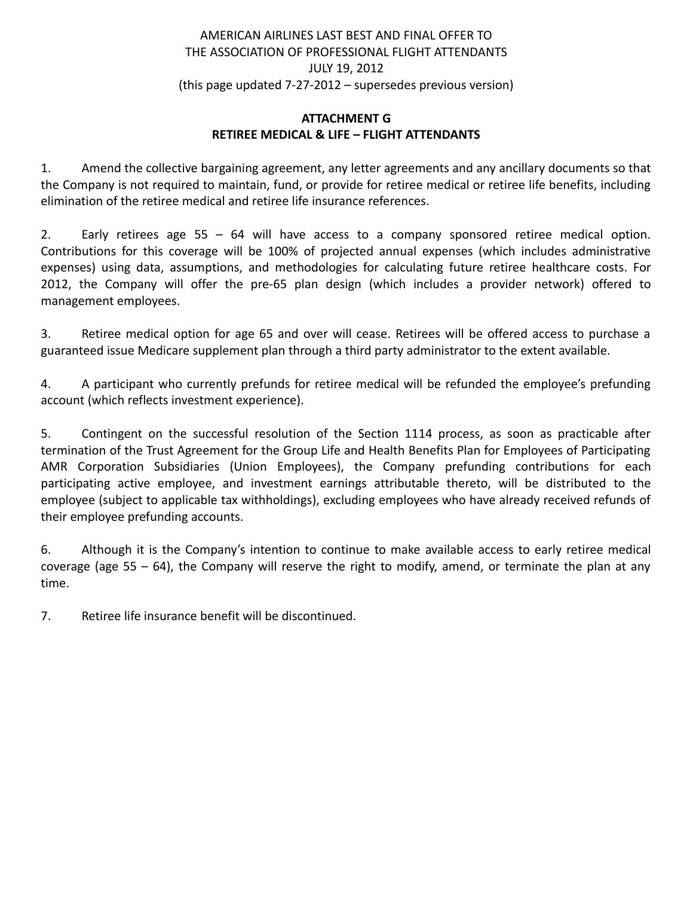# AMERICAN AIRLINES LAST BEST AND FINAL OFFER TO THE ASSOCIATION OF PROFESSIONAL FLIGHT ATTENDANTS JULY 19, 2012 (this page updated 7-27-2012 – supersedes previous version)

# **ATTACHMENT G RETIREE MEDICAL & LIFE – FLIGHT ATTENDANTS**

1. Amend the collective bargaining agreement, any letter agreements and any ancillary documents so that the Company is not required to maintain, fund, or provide for retiree medical or retiree life benefits, including elimination of the retiree medical and retiree life insurance references.

2. Early retirees age 55 – 64 will have access to a company sponsored retiree medical option. Contributions for this coverage will be 100% of projected annual expenses (which includes administrative expenses) using data, assumptions, and methodologies for calculating future retiree healthcare costs. For 2012, the Company will offer the pre-65 plan design (which includes a provider network) offered to management employees.

3. Retiree medical option for age 65 and over will cease. Retirees will be offered access to purchase a guaranteed issue Medicare supplement plan through a third party administrator to the extent available.

4. A participant who currently prefunds for retiree medical will be refunded the employee's prefunding account (which reflects investment experience).

5. Contingent on the successful resolution of the Section 1114 process, as soon as practicable after termination of the Trust Agreement for the Group Life and Health Benefits Plan for Employees of Participating AMR Corporation Subsidiaries (Union Employees), the Company prefunding contributions for each participating active employee, and investment earnings attributable thereto, will be distributed to the employee (subject to applicable tax withholdings), excluding employees who have already received refunds of their employee prefunding accounts.

6. Although it is the Company's intention to continue to make available access to early retiree medical coverage (age 55 – 64), the Company will reserve the right to modify, amend, or terminate the plan at any time.

7. Retiree life insurance benefit will be discontinued.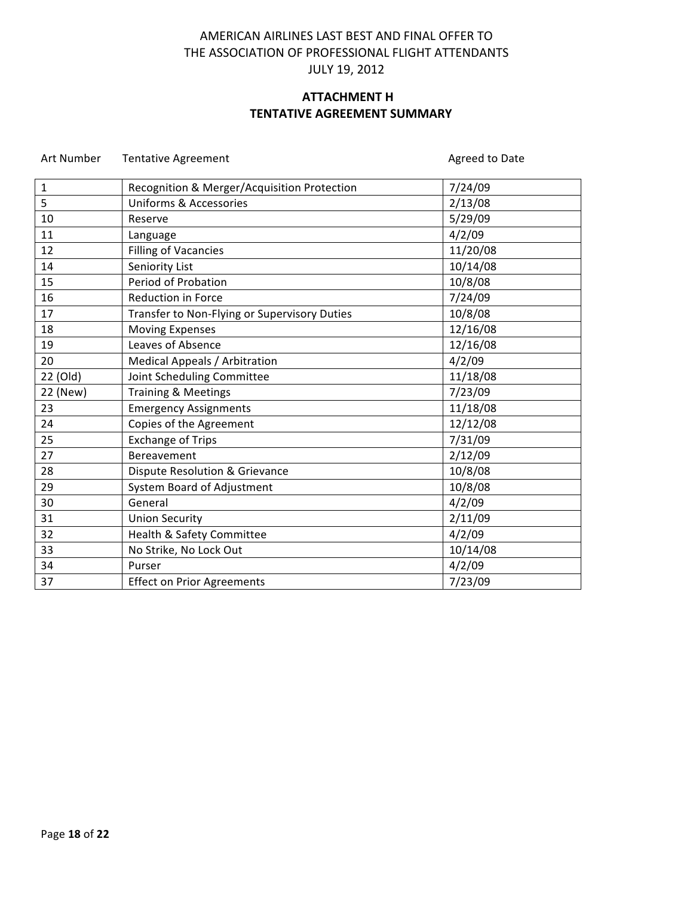# **ATTACHMENT H TENTATIVE AGREEMENT SUMMARY**

| $\mathbf{1}$ | Recognition & Merger/Acquisition Protection  | 7/24/09  |
|--------------|----------------------------------------------|----------|
| 5            | <b>Uniforms &amp; Accessories</b>            | 2/13/08  |
| 10           | Reserve                                      | 5/29/09  |
| 11           | Language                                     | 4/2/09   |
| 12           | <b>Filling of Vacancies</b>                  | 11/20/08 |
| 14           | Seniority List                               | 10/14/08 |
| 15           | Period of Probation                          | 10/8/08  |
| 16           | Reduction in Force                           | 7/24/09  |
| 17           | Transfer to Non-Flying or Supervisory Duties | 10/8/08  |
| 18           | <b>Moving Expenses</b>                       | 12/16/08 |
| 19           | Leaves of Absence                            | 12/16/08 |
| 20           | Medical Appeals / Arbitration                | 4/2/09   |
| 22 (Old)     | Joint Scheduling Committee                   | 11/18/08 |
| 22 (New)     | Training & Meetings                          | 7/23/09  |
| 23           | <b>Emergency Assignments</b>                 | 11/18/08 |
| 24           | Copies of the Agreement                      | 12/12/08 |
| 25           | <b>Exchange of Trips</b>                     | 7/31/09  |
| 27           | Bereavement                                  | 2/12/09  |
| 28           | <b>Dispute Resolution &amp; Grievance</b>    | 10/8/08  |
| 29           | System Board of Adjustment                   | 10/8/08  |
| 30           | General                                      | 4/2/09   |
| 31           | <b>Union Security</b>                        | 2/11/09  |
| 32           | Health & Safety Committee                    | 4/2/09   |
| 33           | No Strike, No Lock Out                       | 10/14/08 |
| 34           | Purser                                       | 4/2/09   |
| 37           | <b>Effect on Prior Agreements</b>            | 7/23/09  |

Art Number Tentative Agreement and The Controller Agreed to Date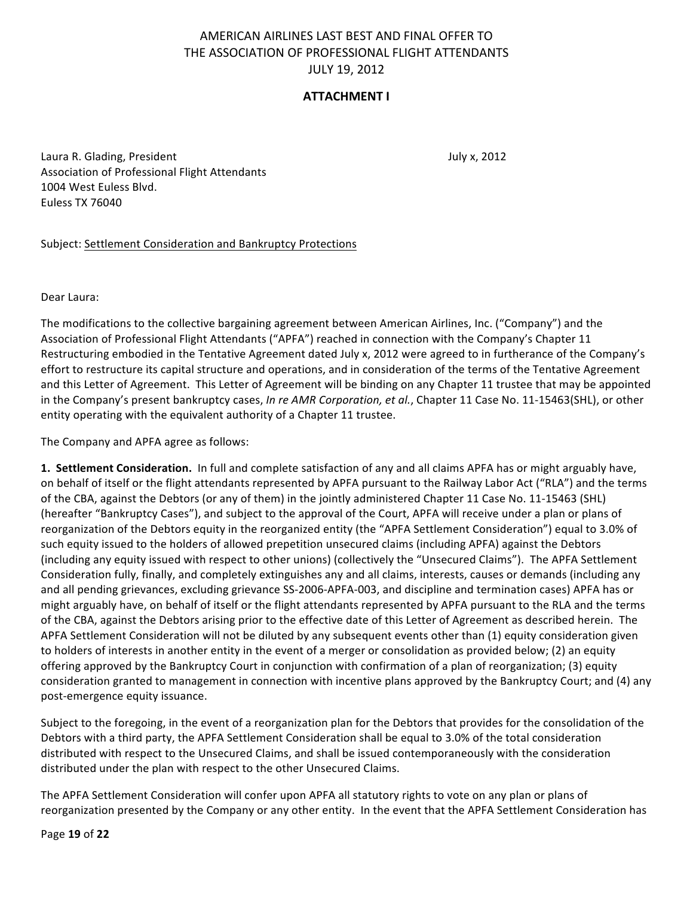# **ATTACHMENT I**

Laura R. Glading, President July x, 2012 Association of Professional Flight Attendants 1004 West Euless Blvd. Euless TX 76040

### Subject: Settlement Consideration and Bankruptcy Protections

Dear Laura:

The modifications to the collective bargaining agreement between American Airlines, Inc. ("Company") and the Association of Professional Flight Attendants ("APFA") reached in connection with the Company's Chapter 11 Restructuring embodied in the Tentative Agreement dated July x, 2012 were agreed to in furtherance of the Company's effort to restructure its capital structure and operations, and in consideration of the terms of the Tentative Agreement and this Letter of Agreement. This Letter of Agreement will be binding on any Chapter 11 trustee that may be appointed in the Company's present bankruptcy cases, *In re AMR Corporation, et al.*, Chapter 11 Case No. 11-15463(SHL), or other entity operating with the equivalent authority of a Chapter 11 trustee.

The Company and APFA agree as follows:

**1. Settlement Consideration.** In full and complete satisfaction of any and all claims APFA has or might arguably have, on behalf of itself or the flight attendants represented by APFA pursuant to the Railway Labor Act ("RLA") and the terms of the CBA, against the Debtors (or any of them) in the jointly administered Chapter 11 Case No. 11-15463 (SHL) (hereafter "Bankruptcy Cases"), and subject to the approval of the Court, APFA will receive under a plan or plans of reorganization of the Debtors equity in the reorganized entity (the "APFA Settlement Consideration") equal to 3.0% of such equity issued to the holders of allowed prepetition unsecured claims (including APFA) against the Debtors (including any equity issued with respect to other unions) (collectively the "Unsecured Claims"). The APFA Settlement Consideration fully, finally, and completely extinguishes any and all claims, interests, causes or demands (including any and all pending grievances, excluding grievance SS-2006-APFA-003, and discipline and termination cases) APFA has or might arguably have, on behalf of itself or the flight attendants represented by APFA pursuant to the RLA and the terms of the CBA, against the Debtors arising prior to the effective date of this Letter of Agreement as described herein. The APFA Settlement Consideration will not be diluted by any subsequent events other than (1) equity consideration given to holders of interests in another entity in the event of a merger or consolidation as provided below; (2) an equity offering approved by the Bankruptcy Court in conjunction with confirmation of a plan of reorganization; (3) equity consideration granted to management in connection with incentive plans approved by the Bankruptcy Court; and (4) any post-emergence equity issuance.

Subject to the foregoing, in the event of a reorganization plan for the Debtors that provides for the consolidation of the Debtors with a third party, the APFA Settlement Consideration shall be equal to 3.0% of the total consideration distributed with respect to the Unsecured Claims, and shall be issued contemporaneously with the consideration distributed under the plan with respect to the other Unsecured Claims.

The APFA Settlement Consideration will confer upon APFA all statutory rights to vote on any plan or plans of reorganization presented by the Company or any other entity. In the event that the APFA Settlement Consideration has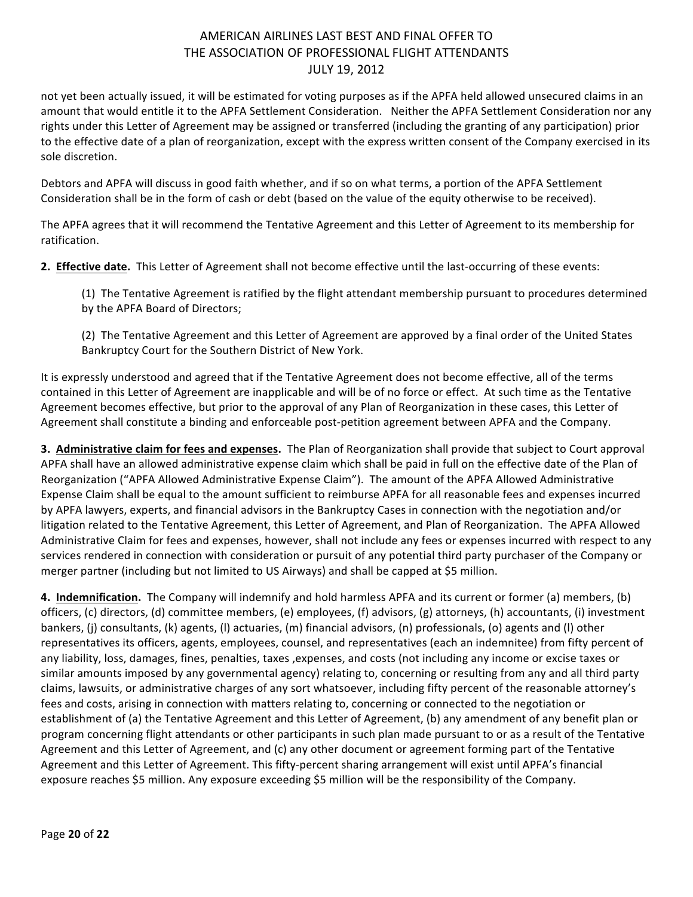not yet been actually issued, it will be estimated for voting purposes as if the APFA held allowed unsecured claims in an amount that would entitle it to the APFA Settlement Consideration. Neither the APFA Settlement Consideration nor any rights under this Letter of Agreement may be assigned or transferred (including the granting of any participation) prior to the effective date of a plan of reorganization, except with the express written consent of the Company exercised in its sole discretion.

Debtors and APFA will discuss in good faith whether, and if so on what terms, a portion of the APFA Settlement Consideration shall be in the form of cash or debt (based on the value of the equity otherwise to be received).

The APFA agrees that it will recommend the Tentative Agreement and this Letter of Agreement to its membership for ratification.

**2. Effective date.** This Letter of Agreement shall not become effective until the last-occurring of these events:

(1) The Tentative Agreement is ratified by the flight attendant membership pursuant to procedures determined by the APFA Board of Directors;

(2) The Tentative Agreement and this Letter of Agreement are approved by a final order of the United States Bankruptcy Court for the Southern District of New York.

It is expressly understood and agreed that if the Tentative Agreement does not become effective, all of the terms contained in this Letter of Agreement are inapplicable and will be of no force or effect. At such time as the Tentative Agreement becomes effective, but prior to the approval of any Plan of Reorganization in these cases, this Letter of Agreement shall constitute a binding and enforceable post-petition agreement between APFA and the Company.

**3. Administrative claim for fees and expenses.** The Plan of Reorganization shall provide that subject to Court approval APFA shall have an allowed administrative expense claim which shall be paid in full on the effective date of the Plan of Reorganization ("APFA Allowed Administrative Expense Claim"). The amount of the APFA Allowed Administrative Expense Claim shall be equal to the amount sufficient to reimburse APFA for all reasonable fees and expenses incurred by APFA lawyers, experts, and financial advisors in the Bankruptcy Cases in connection with the negotiation and/or litigation related to the Tentative Agreement, this Letter of Agreement, and Plan of Reorganization. The APFA Allowed Administrative Claim for fees and expenses, however, shall not include any fees or expenses incurred with respect to any services rendered in connection with consideration or pursuit of any potential third party purchaser of the Company or merger partner (including but not limited to US Airways) and shall be capped at \$5 million.

**4.** Indemnification. The Company will indemnify and hold harmless APFA and its current or former (a) members, (b) officers, (c) directors, (d) committee members, (e) employees, (f) advisors, (g) attorneys, (h) accountants, (i) investment bankers, (j) consultants, (k) agents, (l) actuaries, (m) financial advisors, (n) professionals, (o) agents and (l) other representatives its officers, agents, employees, counsel, and representatives (each an indemnitee) from fifty percent of any liability, loss, damages, fines, penalties, taxes , expenses, and costs (not including any income or excise taxes or similar amounts imposed by any governmental agency) relating to, concerning or resulting from any and all third party claims, lawsuits, or administrative charges of any sort whatsoever, including fifty percent of the reasonable attorney's fees and costs, arising in connection with matters relating to, concerning or connected to the negotiation or establishment of (a) the Tentative Agreement and this Letter of Agreement, (b) any amendment of any benefit plan or program concerning flight attendants or other participants in such plan made pursuant to or as a result of the Tentative Agreement and this Letter of Agreement, and (c) any other document or agreement forming part of the Tentative Agreement and this Letter of Agreement. This fifty-percent sharing arrangement will exist until APFA's financial exposure reaches \$5 million. Any exposure exceeding \$5 million will be the responsibility of the Company.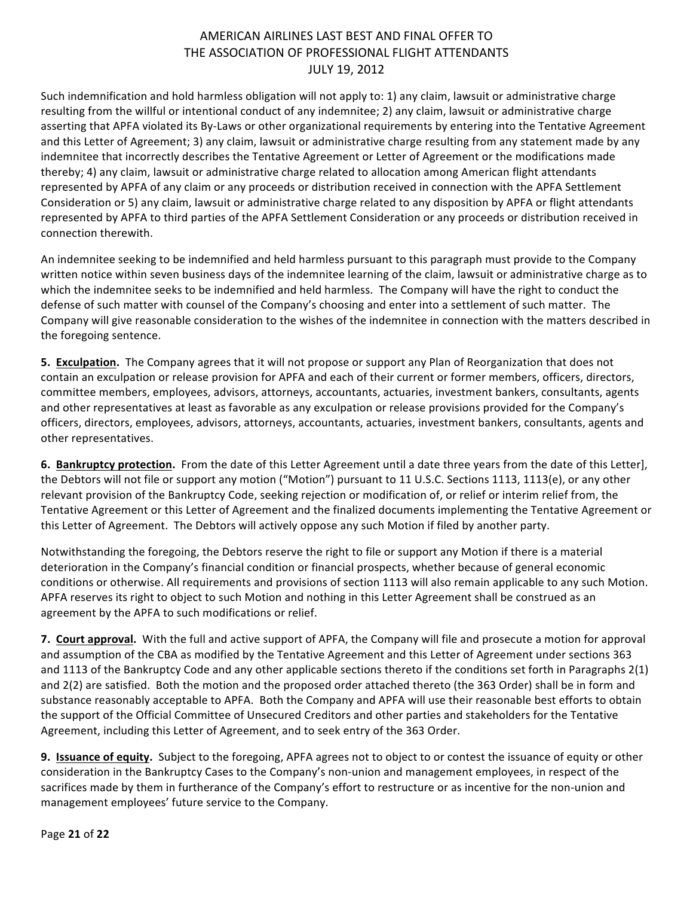Such indemnification and hold harmless obligation will not apply to: 1) any claim, lawsuit or administrative charge resulting from the willful or intentional conduct of any indemnitee; 2) any claim, lawsuit or administrative charge asserting that APFA violated its By-Laws or other organizational requirements by entering into the Tentative Agreement and this Letter of Agreement; 3) any claim, lawsuit or administrative charge resulting from any statement made by any indemnitee that incorrectly describes the Tentative Agreement or Letter of Agreement or the modifications made thereby; 4) any claim, lawsuit or administrative charge related to allocation among American flight attendants represented by APFA of any claim or any proceeds or distribution received in connection with the APFA Settlement Consideration or 5) any claim, lawsuit or administrative charge related to any disposition by APFA or flight attendants represented by APFA to third parties of the APFA Settlement Consideration or any proceeds or distribution received in connection therewith.

An indemnitee seeking to be indemnified and held harmless pursuant to this paragraph must provide to the Company written notice within seven business days of the indemnitee learning of the claim, lawsuit or administrative charge as to which the indemnitee seeks to be indemnified and held harmless. The Company will have the right to conduct the defense of such matter with counsel of the Company's choosing and enter into a settlement of such matter. The Company will give reasonable consideration to the wishes of the indemnitee in connection with the matters described in the foregoing sentence.

**5. Exculpation.** The Company agrees that it will not propose or support any Plan of Reorganization that does not contain an exculpation or release provision for APFA and each of their current or former members, officers, directors, committee members, employees, advisors, attorneys, accountants, actuaries, investment bankers, consultants, agents and other representatives at least as favorable as any exculpation or release provisions provided for the Company's officers, directors, employees, advisors, attorneys, accountants, actuaries, investment bankers, consultants, agents and other representatives.

**6. Bankruptcy protection.** From the date of this Letter Agreement until a date three years from the date of this Letter], the Debtors will not file or support any motion ("Motion") pursuant to 11 U.S.C. Sections 1113, 1113(e), or any other relevant provision of the Bankruptcy Code, seeking rejection or modification of, or relief or interim relief from, the Tentative Agreement or this Letter of Agreement and the finalized documents implementing the Tentative Agreement or this Letter of Agreement. The Debtors will actively oppose any such Motion if filed by another party.

Notwithstanding the foregoing, the Debtors reserve the right to file or support any Motion if there is a material deterioration in the Company's financial condition or financial prospects, whether because of general economic conditions or otherwise. All requirements and provisions of section 1113 will also remain applicable to any such Motion. APFA reserves its right to object to such Motion and nothing in this Letter Agreement shall be construed as an agreement by the APFA to such modifications or relief.

**7. Court approval.** With the full and active support of APFA, the Company will file and prosecute a motion for approval and assumption of the CBA as modified by the Tentative Agreement and this Letter of Agreement under sections 363 and 1113 of the Bankruptcy Code and any other applicable sections thereto if the conditions set forth in Paragraphs  $2(1)$ and 2(2) are satisfied. Both the motion and the proposed order attached thereto (the 363 Order) shall be in form and substance reasonably acceptable to APFA. Both the Company and APFA will use their reasonable best efforts to obtain the support of the Official Committee of Unsecured Creditors and other parties and stakeholders for the Tentative Agreement, including this Letter of Agreement, and to seek entry of the 363 Order.

**9.** Issuance of equity. Subject to the foregoing, APFA agrees not to object to or contest the issuance of equity or other consideration in the Bankruptcy Cases to the Company's non-union and management employees, in respect of the sacrifices made by them in furtherance of the Company's effort to restructure or as incentive for the non-union and management employees' future service to the Company.